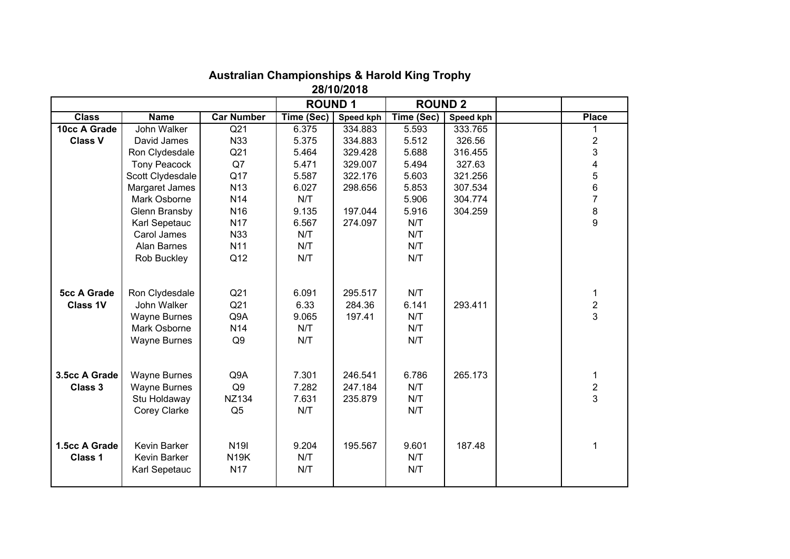| 28/10/2018                            |                                                                                             |                                                  |                                      |                               |                                   |           |  |                                   |  |  |  |
|---------------------------------------|---------------------------------------------------------------------------------------------|--------------------------------------------------|--------------------------------------|-------------------------------|-----------------------------------|-----------|--|-----------------------------------|--|--|--|
|                                       |                                                                                             |                                                  | <b>ROUND1</b>                        |                               | <b>ROUND 2</b>                    |           |  |                                   |  |  |  |
| <b>Class</b>                          | <b>Name</b>                                                                                 | <b>Car Number</b>                                | Time (Sec)                           | Speed kph                     | Time (Sec)                        | Speed kph |  | <b>Place</b>                      |  |  |  |
| 10cc A Grade                          | John Walker                                                                                 | $\overline{Q21}$                                 | 6.375                                | 334.883                       | 5.593                             | 333.765   |  |                                   |  |  |  |
| <b>Class V</b>                        | David James                                                                                 | N33                                              | 5.375                                | 334.883                       | 5.512                             | 326.56    |  | $\overline{2}$                    |  |  |  |
|                                       | Ron Clydesdale                                                                              | Q21                                              | 5.464                                | 329.428                       | 5.688                             | 316.455   |  | 3                                 |  |  |  |
|                                       | <b>Tony Peacock</b>                                                                         | Q7                                               | 5.471                                | 329.007                       | 5.494                             | 327.63    |  | 4                                 |  |  |  |
|                                       | Scott Clydesdale                                                                            | Q17                                              | 5.587                                | 322.176                       | 5.603                             | 321.256   |  | 5                                 |  |  |  |
|                                       | Margaret James                                                                              | N <sub>13</sub>                                  | 6.027                                | 298.656                       | 5.853                             | 307.534   |  | 6                                 |  |  |  |
|                                       | Mark Osborne                                                                                | N <sub>14</sub>                                  | N/T                                  |                               | 5.906                             | 304.774   |  | $\overline{7}$                    |  |  |  |
|                                       | Glenn Bransby                                                                               | N <sub>16</sub>                                  | 9.135                                | 197.044                       | 5.916                             | 304.259   |  | 8                                 |  |  |  |
|                                       | Karl Sepetauc                                                                               | N17                                              | 6.567                                | 274.097                       | N/T                               |           |  | 9                                 |  |  |  |
|                                       | Carol James                                                                                 | N33                                              | N/T                                  |                               | N/T                               |           |  |                                   |  |  |  |
|                                       | Alan Barnes                                                                                 | N <sub>11</sub>                                  | N/T                                  |                               | N/T                               |           |  |                                   |  |  |  |
|                                       | Rob Buckley                                                                                 | Q12                                              | N/T                                  |                               | N/T                               |           |  |                                   |  |  |  |
| <b>5cc A Grade</b><br><b>Class 1V</b> | Ron Clydesdale<br>John Walker<br><b>Wayne Burnes</b><br>Mark Osborne<br><b>Wayne Burnes</b> | Q21<br>Q21<br>Q9A<br>N14<br>Q <sub>9</sub>       | 6.091<br>6.33<br>9.065<br>N/T<br>N/T | 295.517<br>284.36<br>197.41   | N/T<br>6.141<br>N/T<br>N/T<br>N/T | 293.411   |  | 1<br>$\overline{\mathbf{c}}$<br>3 |  |  |  |
| 3.5cc A Grade<br>Class 3              | <b>Wayne Burnes</b><br><b>Wayne Burnes</b><br>Stu Holdaway<br>Corey Clarke                  | Q9A<br>Q <sub>9</sub><br>NZ134<br>Q <sub>5</sub> | 7.301<br>7.282<br>7.631<br>N/T       | 246.541<br>247.184<br>235.879 | 6.786<br>N/T<br>N/T<br>N/T        | 265.173   |  | 1<br>$\overline{c}$<br>3          |  |  |  |
| 1.5cc A Grade<br><b>Class 1</b>       | Kevin Barker<br>Kevin Barker<br>Karl Sepetauc                                               | N <sub>19</sub><br><b>N19K</b><br>N17            | 9.204<br>N/T<br>N/T                  | 195.567                       | 9.601<br>N/T<br>N/T               | 187.48    |  | 1                                 |  |  |  |

## **Australian Championships & Harold King Trophy**